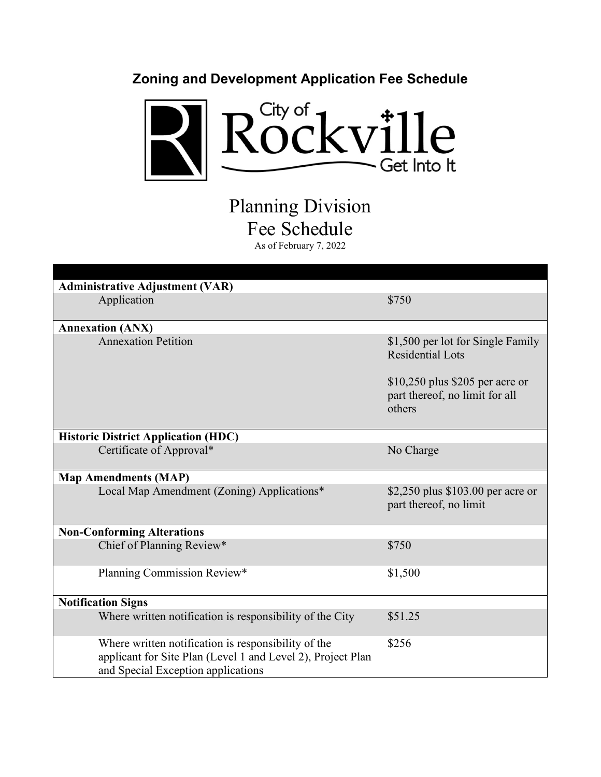

Planning Division Fee Schedule As of February 7, 2022

| <b>Administrative Adjustment (VAR)</b>                                                                                                                   |                                                                              |  |
|----------------------------------------------------------------------------------------------------------------------------------------------------------|------------------------------------------------------------------------------|--|
| Application                                                                                                                                              | \$750                                                                        |  |
|                                                                                                                                                          |                                                                              |  |
| <b>Annexation (ANX)</b>                                                                                                                                  |                                                                              |  |
| <b>Annexation Petition</b>                                                                                                                               | \$1,500 per lot for Single Family<br><b>Residential Lots</b>                 |  |
|                                                                                                                                                          | $$10,250$ plus \$205 per acre or<br>part thereof, no limit for all<br>others |  |
| <b>Historic District Application (HDC)</b>                                                                                                               |                                                                              |  |
| Certificate of Approval*                                                                                                                                 | No Charge                                                                    |  |
| <b>Map Amendments (MAP)</b>                                                                                                                              |                                                                              |  |
| Local Map Amendment (Zoning) Applications*                                                                                                               | \$2,250 plus \$103.00 per acre or<br>part thereof, no limit                  |  |
| <b>Non-Conforming Alterations</b>                                                                                                                        |                                                                              |  |
| Chief of Planning Review*                                                                                                                                | \$750                                                                        |  |
| Planning Commission Review*                                                                                                                              | \$1,500                                                                      |  |
| <b>Notification Signs</b>                                                                                                                                |                                                                              |  |
| Where written notification is responsibility of the City                                                                                                 | \$51.25                                                                      |  |
| Where written notification is responsibility of the<br>applicant for Site Plan (Level 1 and Level 2), Project Plan<br>and Special Exception applications | \$256                                                                        |  |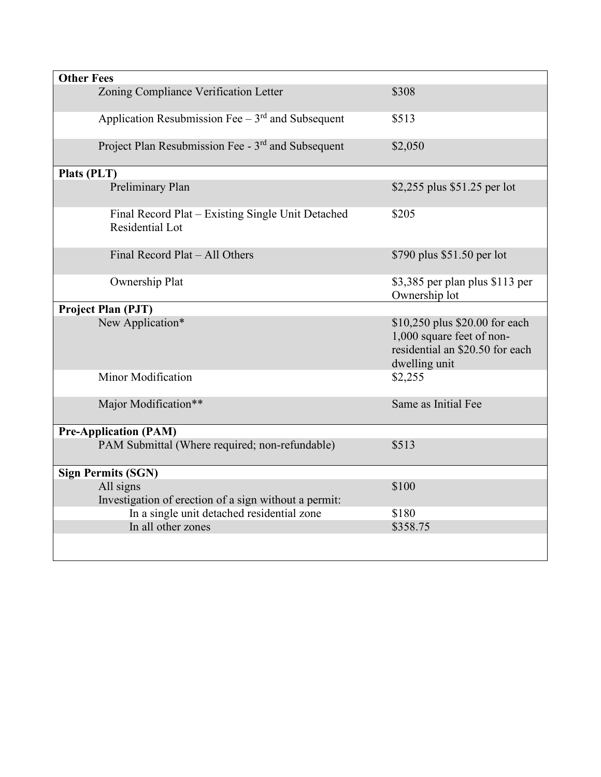| <b>Other Fees</b>                                                    |                                                                                                                 |
|----------------------------------------------------------------------|-----------------------------------------------------------------------------------------------------------------|
| Zoning Compliance Verification Letter                                | \$308                                                                                                           |
| Application Resubmission Fee $-3rd$ and Subsequent                   | \$513                                                                                                           |
| Project Plan Resubmission Fee - 3rd and Subsequent                   | \$2,050                                                                                                         |
| Plats (PLT)                                                          |                                                                                                                 |
| Preliminary Plan                                                     | \$2,255 plus \$51.25 per lot                                                                                    |
| Final Record Plat – Existing Single Unit Detached<br>Residential Lot | \$205                                                                                                           |
| Final Record Plat - All Others                                       | \$790 plus \$51.50 per lot                                                                                      |
| Ownership Plat                                                       | \$3,385 per plan plus \$113 per<br>Ownership lot                                                                |
| Project Plan (PJT)                                                   |                                                                                                                 |
| New Application*                                                     | \$10,250 plus \$20.00 for each<br>1,000 square feet of non-<br>residential an \$20.50 for each<br>dwelling unit |
| Minor Modification                                                   | \$2,255                                                                                                         |
| Major Modification**                                                 | Same as Initial Fee                                                                                             |
| <b>Pre-Application (PAM)</b>                                         |                                                                                                                 |
| PAM Submittal (Where required; non-refundable)                       | \$513                                                                                                           |
| <b>Sign Permits (SGN)</b>                                            |                                                                                                                 |
| All signs<br>Investigation of erection of a sign without a permit:   | \$100                                                                                                           |
| In a single unit detached residential zone                           | \$180                                                                                                           |
| In all other zones                                                   | \$358.75                                                                                                        |
|                                                                      |                                                                                                                 |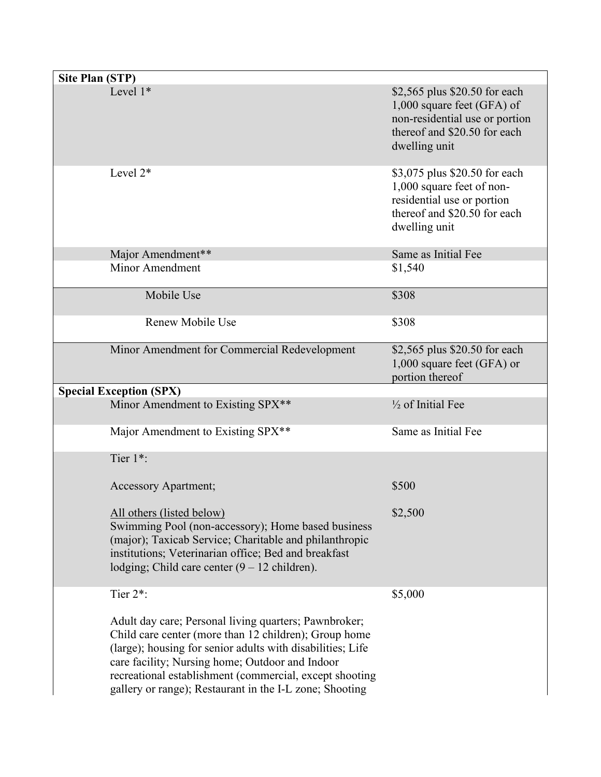| <b>Site Plan (STP)</b>                                                                                                                                                                                                                                                                                                                                |                                                                                                                                                |
|-------------------------------------------------------------------------------------------------------------------------------------------------------------------------------------------------------------------------------------------------------------------------------------------------------------------------------------------------------|------------------------------------------------------------------------------------------------------------------------------------------------|
| Level $1*$                                                                                                                                                                                                                                                                                                                                            | \$2,565 plus \$20.50 for each<br>1,000 square feet (GFA) of<br>non-residential use or portion<br>thereof and \$20.50 for each<br>dwelling unit |
| Level $2^*$                                                                                                                                                                                                                                                                                                                                           | \$3,075 plus \$20.50 for each<br>1,000 square feet of non-<br>residential use or portion<br>thereof and \$20.50 for each<br>dwelling unit      |
| Major Amendment**                                                                                                                                                                                                                                                                                                                                     | Same as Initial Fee                                                                                                                            |
| Minor Amendment                                                                                                                                                                                                                                                                                                                                       | \$1,540                                                                                                                                        |
| Mobile Use                                                                                                                                                                                                                                                                                                                                            | \$308                                                                                                                                          |
| Renew Mobile Use                                                                                                                                                                                                                                                                                                                                      | \$308                                                                                                                                          |
| Minor Amendment for Commercial Redevelopment                                                                                                                                                                                                                                                                                                          | \$2,565 plus \$20.50 for each<br>1,000 square feet (GFA) or<br>portion thereof                                                                 |
| <b>Special Exception (SPX)</b>                                                                                                                                                                                                                                                                                                                        |                                                                                                                                                |
| Minor Amendment to Existing SPX**                                                                                                                                                                                                                                                                                                                     | $\frac{1}{2}$ of Initial Fee                                                                                                                   |
| Major Amendment to Existing SPX**                                                                                                                                                                                                                                                                                                                     | Same as Initial Fee                                                                                                                            |
| Tier 1*:                                                                                                                                                                                                                                                                                                                                              |                                                                                                                                                |
| <b>Accessory Apartment;</b>                                                                                                                                                                                                                                                                                                                           | \$500                                                                                                                                          |
| All others (listed below)<br>Swimming Pool (non-accessory); Home based business<br>(major); Taxicab Service; Charitable and philanthropic<br>institutions; Veterinarian office; Bed and breakfast<br>lodging; Child care center $(9 - 12 \text{ children})$ .                                                                                         | \$2,500                                                                                                                                        |
| Tier 2*:                                                                                                                                                                                                                                                                                                                                              | \$5,000                                                                                                                                        |
| Adult day care; Personal living quarters; Pawnbroker;<br>Child care center (more than 12 children); Group home<br>(large); housing for senior adults with disabilities; Life<br>care facility; Nursing home; Outdoor and Indoor<br>recreational establishment (commercial, except shooting<br>gallery or range); Restaurant in the I-L zone; Shooting |                                                                                                                                                |